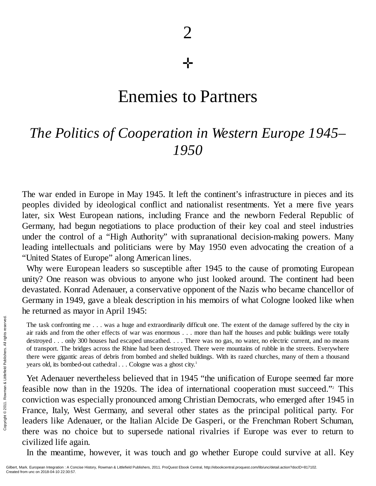# Enemies to Partners

## *The Politics of Cooperation in Western Europe 1945– 1950*

The war ended in Europe in May 1945. It left the continent's infrastructure in pieces and its peoples divided by ideological conflict and nationalist resentments. Yet a mere five years later, six West European nations, including France and the newborn Federal Republic of Germany, had begun negotiations to place production of their key coal and steel industries under the control of a "High Authority" with supranational decision-making powers. Many leading intellectuals and politicians were by May 1950 even advocating the creation of a "United States of Europe" along American lines.

Why were European leaders so susceptible after 1945 to the cause of promoting European unity? One reason was obvious to anyone who just looked around. The continent had been devastated. Konrad Adenauer, a conservative opponent of the Nazis who became chancellor of Germany in 1949, gave a bleak description in his memoirs of what Cologne looked like when he returned as mayor in April 1945:

The task confronting me . . . was a huge and extraordinarily difficult one. The extent of the damage suffered by the city in air raids and from the other effects of war was enormous . . . more than half the houses and public buildings were totally destroyed . . . only 300 houses had escaped unscathed. . . . There was no gas, no water, no electric current, and no means of transport. The bridges across the Rhine had been destroyed. There were mountains of rubble in the streets. Everywhere there were gigantic areas of debris from bombed and shelled buildings. With its razed churches, many of them a thousand years old, its bombed-out cathedral . . . Cologne was a ghost city.<sup>1</sup>

Yet Adenauer nevertheless believed that in 1945 "the unification of Europe seemed far more feasible now than in the 1920s. The idea of international cooperation must succeed." <sup>2</sup> This conviction was especially pronounced among Christian Democrats, who emerged after 1945 in France, Italy, West Germany, and several other states as the principal political party. For leaders like Adenauer, or the Italian Alcide De Gasperi, or the Frenchman Robert Schuman, there was no choice but to supersede national rivalries if Europe was ever to return to civilized life again. The task confrontin air raids and from destroyed . . . only of transport. The b<br>there were gigantic years old, its bombe<br>years old, its bombe<br> $\text{Yet Adenauer}$  feasible now the conviction was<br>France, Italy, V<br>leaders like Ac<br>the

In the meantime, however, it was touch and go whether Europe could survive at all. Key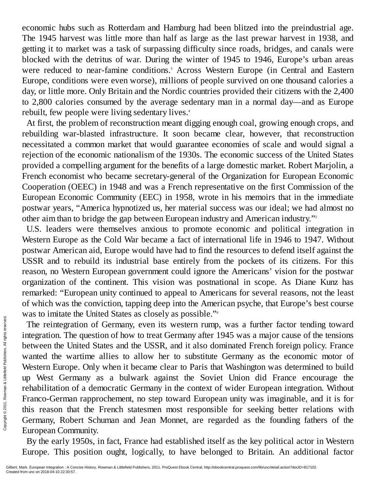economic hubs such as Rotterdam and Hamburg had been blitzed into the preindustrial age. The 1945 harvest was little more than half as large as the last prewar harvest in 1938, and getting it to market was a task of surpassing difficulty since roads, bridges, and canals were blocked with the detritus of war. During the winter of 1945 to 1946, Europe's urban areas were reduced to near-famine conditions. <sup>3</sup> Across Western Europe (in Central and Eastern Europe, conditions were even worse), millions of people survived on one thousand calories a day, or little more. Only Britain and the Nordic countries provided their citizens with the 2,400 to 2,800 calories consumed by the average sedentary man in a normal day—and as Europe rebuilt, few people were living sedentary lives. 4

At first, the problem of reconstruction meant digging enough coal, growing enough crops, and rebuilding war-blasted infrastructure. It soon became clear, however, that reconstruction necessitated a common market that would guarantee economies of scale and would signal a rejection of the economic nationalism of the 1930s. The economic success of the United States provided a compelling argument for the benefits of a large domestic market. Robert Marjolin, a French economist who became secretary-general of the Organization for European Economic Cooperation (OEEC) in 1948 and was a French representative on the first Commission of the European Economic Community (EEC) in 1958, wrote in his memoirs that in the immediate postwar years, "America hypnotized us, her material success was our ideal; we had almost no other aim than to bridge the gap between European industry and American industry." 5

U.S. leaders were themselves anxious to promote economic and political integration in Western Europe as the Cold War became a fact of international life in 1946 to 1947. Without postwar American aid, Europe would have had to find the resources to defend itself against the USSR and to rebuild its industrial base entirely from the pockets of its citizens. For this reason, no Western European government could ignore the Americans' vision for the postwar organization of the continent. This vision was postnational in scope. As Diane Kunz has remarked: "European unity continued to appeal to Americans for several reasons, not the least of which was the conviction, tapping deep into the American psyche, that Europe's best course was to imitate the United States as closely as possible." 6

The reintegration of Germany, even its western rump, was a further factor tending toward integration. The question of how to treat Germany after 1945 was a major cause of the tensions between the United States and the USSR, and it also dominated French foreign policy. France wanted the wartime allies to allow her to substitute Germany as the economic motor of Western Europe. Only when it became clear to Paris that Washington was determined to build up West Germany as a bulwark against the Soviet Union did France encourage the rehabilitation of a democratic Germany in the context of wider European integration. Without Franco-German rapprochement, no step toward European unity was imaginable, and it is for this reason that the French statesmen most responsible for seeking better relations with Germany, Robert Schuman and Jean Monnet, are regarded as the founding fathers of the European Community. The reintegration. The between the Unitegration. The between the Unitegration. The between the Unitegration of West Gern rehabilitation of Franco-German this reason that Germany, Robert  $\frac{1}{1}$   $\frac{1}{1}$   $\frac{1}{1}$   $\frac{1$ 

By the early 1950s, in fact, France had established itself as the key political actor in Western Europe. This position ought, logically, to have belonged to Britain. An additional factor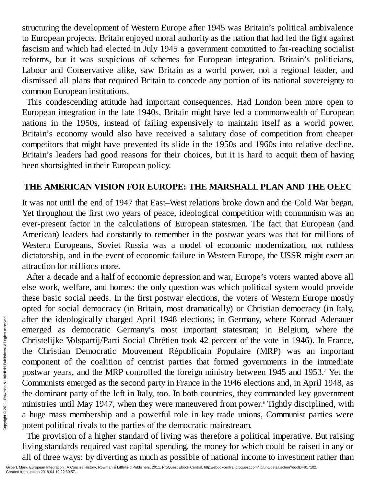structuring the development of Western Europe after 1945 was Britain's political ambivalence to European projects. Britain enjoyed moral authority as the nation that had led the fight against fascism and which had elected in July 1945 a government committed to far-reaching socialist reforms, but it was suspicious of schemes for European integration. Britain's politicians, Labour and Conservative alike, saw Britain as a world power, not a regional leader, and dismissed all plans that required Britain to concede any portion of its national sovereignty to common European institutions.

This condescending attitude had important consequences. Had London been more open to European integration in the late 1940s, Britain might have led a commonwealth of European nations in the 1950s, instead of failing expensively to maintain itself as a world power. Britain's economy would also have received a salutary dose of competition from cheaper competitors that might have prevented its slide in the 1950s and 1960s into relative decline. Britain's leaders had good reasons for their choices, but it is hard to acquit them of having been shortsighted in their European policy.

### **THE AMERICAN VISION FOR EUROPE: THE MARSHALL PLAN AND THE OEEC**

It was not until the end of 1947 that East–West relations broke down and the Cold War began. Yet throughout the first two years of peace, ideological competition with communism was an ever-present factor in the calculations of European statesmen. The fact that European (and American) leaders had constantly to remember in the postwar years was that for millions of Western Europeans, Soviet Russia was a model of economic modernization, not ruthless dictatorship, and in the event of economic failure in Western Europe, the USSR might exert an attraction for millions more.

After a decade and a half of economic depression and war, Europe's voters wanted above all else work, welfare, and homes: the only question was which political system would provide these basic social needs. In the first postwar elections, the voters of Western Europe mostly opted for social democracy (in Britain, most dramatically) or Christian democracy (in Italy, after the ideologically charged April 1948 elections; in Germany, where Konrad Adenauer emerged as democratic Germany's most important statesman; in Belgium, where the Christelijke Volspartij/Parti Social Chrétien took 42 percent of the vote in 1946). In France, the Christian Democratic Mouvement Républicain Populaire (MRP) was an important component of the coalition of centrist parties that formed governments in the immediate postwar years, and the MRP controlled the foreign ministry between 1945 and 1953. <sup>7</sup> Yet the Communists emerged as the second party in France in the 1946 elections and, in April 1948, as the dominant party of the left in Italy, too. In both countries, they commanded key government ministries until May 1947, when they were maneuvered from power. <sup>8</sup> Tightly disciplined, with a huge mass membership and a powerful role in key trade unions, Communist parties were potent political rivals to the parties of the democratic mainstream. Exercise the ideolom<br>
Exercise the Christelijke Voltaries<br>
the Christian<br>
component of<br>
postwar years,<br>
Communists em<br>
the dominant pa<br>
ministries until<br>
a huge mass m<br>
potent political<br>
The provision<br>
living standards<br>
a

The provision of a higher standard of living was therefore a political imperative. But raising living standards required vast capital spending, the money for which could be raised in any or all of three ways: by diverting as much as possible of national income to investment rather than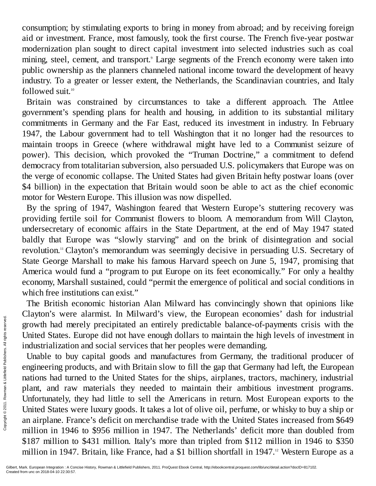consumption; by stimulating exports to bring in money from abroad; and by receiving foreign aid or investment. France, most famously, took the first course. The French five-year postwar modernization plan sought to direct capital investment into selected industries such as coal mining, steel, cement, and transport. <sup>9</sup> Large segments of the French economy were taken into public ownership as the planners channeled national income toward the development of heavy industry. To a greater or lesser extent, the Netherlands, the Scandinavian countries, and Italy followed suit. 10

Britain was constrained by circumstances to take a different approach. The Attlee government's spending plans for health and housing, in addition to its substantial military commitments in Germany and the Far East, reduced its investment in industry. In February 1947, the Labour government had to tell Washington that it no longer had the resources to maintain troops in Greece (where withdrawal might have led to a Communist seizure of power). This decision, which provoked the "Truman Doctrine," a commitment to defend democracy from totalitarian subversion, also persuaded U.S. policymakers that Europe was on the verge of economic collapse. The United States had given Britain hefty postwar loans (over \$4 billion) in the expectation that Britain would soon be able to act as the chief economic motor for Western Europe. This illusion was now dispelled.

By the spring of 1947, Washington feared that Western Europe's stuttering recovery was providing fertile soil for Communist flowers to bloom. A memorandum from Will Clayton, undersecretary of economic affairs in the State Department, at the end of May 1947 stated baldly that Europe was "slowly starving" and on the brink of disintegration and social revolution. <sup>11</sup> Clayton's memorandum was seemingly decisive in persuading U.S. Secretary of State George Marshall to make his famous Harvard speech on June 5, 1947, promising that America would fund a "program to put Europe on its feet economically." For only a healthy economy, Marshall sustained, could "permit the emergence of political and social conditions in which free institutions can exist."

The British economic historian Alan Milward has convincingly shown that opinions like Clayton's were alarmist. In Milward's view, the European economies' dash for industrial growth had merely precipitated an entirely predictable balance-of-payments crisis with the United States. Europe did not have enough dollars to maintain the high levels of investment in industrialization and social services that her peoples were demanding.

Unable to buy capital goods and manufactures from Germany, the traditional producer of engineering products, and with Britain slow to fill the gap that Germany had left, the European nations had turned to the United States for the ships, airplanes, tractors, machinery, industrial plant, and raw materials they needed to maintain their ambitious investment programs. Unfortunately, they had little to sell the Americans in return. Most European exports to the United States were luxury goods. It takes a lot of olive oil, perfume, or whisky to buy a ship or an airplane. France's deficit on merchandise trade with the United States increased from \$649 million in 1946 to \$956 million in 1947. The Netherlands' deficit more than doubled from \$187 million to \$431 million. Italy's more than tripled from \$112 million in 1946 to \$350 million in 1947. Britain, like France, had a \$1 billion shortfall in 1947. <sup>12</sup> Western Europe as a Created from unc on 2018-04-10 22:30:57.<br>
Created from unc on 2018-04-10 22:30:57.<br>
Created from unc on 2018-04-10 22:30:57.<br>
Created from unc on 2018-04-10 22:30:57.<br>
Created from unc on 2018-04-10 22:30:57.<br>
Created fro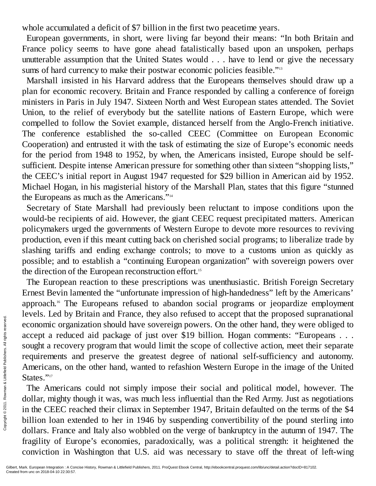whole accumulated a deficit of \$7 billion in the first two peacetime years.

European governments, in short, were living far beyond their means: "In both Britain and France policy seems to have gone ahead fatalistically based upon an unspoken, perhaps unutterable assumption that the United States would . . . have to lend or give the necessary sums of hard currency to make their postwar economic policies feasible."<sup>13</sup>

Marshall insisted in his Harvard address that the Europeans themselves should draw up a plan for economic recovery. Britain and France responded by calling a conference of foreign ministers in Paris in July 1947. Sixteen North and West European states attended. The Soviet Union, to the relief of everybody but the satellite nations of Eastern Europe, which were compelled to follow the Soviet example, distanced herself from the Anglo-French initiative. The conference established the so-called CEEC (Committee on European Economic Cooperation) and entrusted it with the task of estimating the size of Europe's economic needs for the period from 1948 to 1952, by when, the Americans insisted, Europe should be selfsufficient. Despite intense American pressure for something other than sixteen "shopping lists," the CEEC's initial report in August 1947 requested for \$29 billion in American aid by 1952. Michael Hogan, in his magisterial history of the Marshall Plan, states that this figure "stunned the Europeans as much as the Americans." 14

Secretary of State Marshall had previously been reluctant to impose conditions upon the would-be recipients of aid. However, the giant CEEC request precipitated matters. American policymakers urged the governments of Western Europe to devote more resources to reviving production, even if this meant cutting back on cherished social programs; to liberalize trade by slashing tariffs and ending exchange controls; to move to a customs union as quickly as possible; and to establish a "continuing European organization" with sovereign powers over the direction of the European reconstruction effort. 15

The European reaction to these prescriptions was unenthusiastic. British Foreign Secretary Ernest Bevin lamented the "unfortunate impression of high-handedness" left by the Americans' approach. <sup>16</sup> The Europeans refused to abandon social programs or jeopardize employment levels. Led by Britain and France, they also refused to accept that the proposed supranational economic organization should have sovereign powers. On the other hand, they were obliged to accept a reduced aid package of just over \$19 billion. Hogan comments: "Europeans . . . sought a recovery program that would limit the scope of collective action, meet their separate requirements and preserve the greatest degree of national self-sufficiency and autonomy. Americans, on the other hand, wanted to refashion Western Europe in the image of the United States."<sup>17</sup>

The Americans could not simply impose their social and political model, however. The dollar, mighty though it was, was much less influential than the Red Army. Just as negotiations in the CEEC reached their climax in September 1947, Britain defaulted on the terms of the \$4 billion loan extended to her in 1946 by suspending convertibility of the pound sterling into dollars. France and Italy also wobbled on the verge of bankruptcy in the autumn of 1947. The fragility of Europe's economies, paradoxically, was a political strength: it heightened the conviction in Washington that U.S. aid was necessary to stave off the threat of left-wing Exercise Eccept a reduce<br>
see accept a reduce<br>
sought a recove<br>
requirements a<br>
Americans, on<br>
States."<sup>17</sup><br>
The American<br>
dollar, mighty t<br>
in the CEEC re<br>
billion loan ex<br>
dollars. France<br>
fragility of European Integrat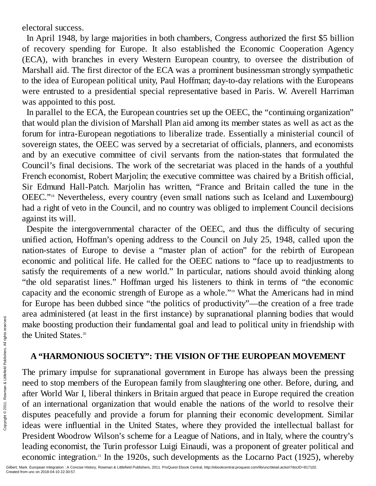electoral success.

In April 1948, by large majorities in both chambers, Congress authorized the first \$5 billion of recovery spending for Europe. It also established the Economic Cooperation Agency (ECA), with branches in every Western European country, to oversee the distribution of Marshall aid. The first director of the ECA was a prominent businessman strongly sympathetic to the idea of European political unity, Paul Hoffman; day-to-day relations with the Europeans were entrusted to a presidential special representative based in Paris. W. Averell Harriman was appointed to this post.

In parallel to the ECA, the European countries set up the OEEC, the "continuing organization" that would plan the division of Marshall Plan aid among its member states as well as act as the forum for intra-European negotiations to liberalize trade. Essentially a ministerial council of sovereign states, the OEEC was served by a secretariat of officials, planners, and economists and by an executive committee of civil servants from the nation-states that formulated the Council's final decisions. The work of the secretariat was placed in the hands of a youthful French economist, Robert Marjolin; the executive committee was chaired by a British official, Sir Edmund Hall-Patch. Marjolin has written, "France and Britain called the tune in the OEEC." <sup>18</sup> Nevertheless, every country (even small nations such as Iceland and Luxembourg) had a right of veto in the Council, and no country was obliged to implement Council decisions against its will.

Despite the intergovernmental character of the OEEC, and thus the difficulty of securing unified action, Hoffman's opening address to the Council on July 25, 1948, called upon the nation-states of Europe to devise a "master plan of action" for the rebirth of European economic and political life. He called for the OEEC nations to "face up to readjustments to satisfy the requirements of a new world." In particular, nations should avoid thinking along "the old separatist lines." Hoffman urged his listeners to think in terms of "the economic capacity and the economic strength of Europe as a whole." <sup>19</sup> What the Americans had in mind for Europe has been dubbed since "the politics of productivity"—the creation of a free trade area administered (at least in the first instance) by supranational planning bodies that would make boosting production their fundamental goal and lead to political unity in friendship with the United States. 20

### **A "HARMONIOUS SOCIETY": THE VISION OFTHE EUROPEAN MOVEMENT**

The primary impulse for supranational government in Europe has always been the pressing need to stop members of the European family from slaughtering one other. Before, during, and after World War I, liberal thinkers in Britain argued that peace in Europe required the creation of an international organization that would enable the nations of the world to resolve their disputes peacefully and provide a forum for planning their economic development. Similar ideas were influential in the United States, where they provided the intellectual ballast for President Woodrow Wilson's scheme for a League of Nations, and in Italy, where the country's leading economist, the Turin professor Luigi Einaudi, was a proponent of greater political and economic integration.<sup>21</sup> In the 1920s, such developments as the Locarno Pact (1925), whereby Experiment Mark European Integration : A Coreated from unc on 2018-04-10 22:30:57.<br>
Created from unc on 2018-04-10 22:30:57.<br>
Greated from unc on 2018-04-10 22:30:57.<br>
Greated from unc on 2018-04-10 22:30:57.<br>
Greated from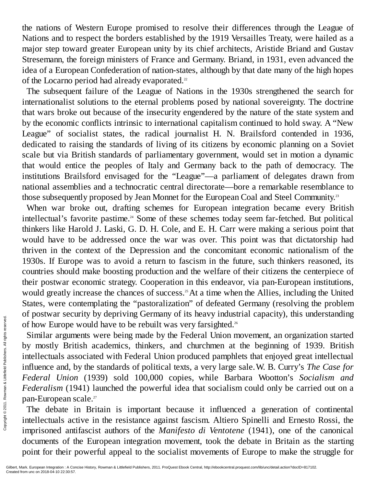the nations of Western Europe promised to resolve their differences through the League of Nations and to respect the borders established by the 1919 Versailles Treaty, were hailed as a major step toward greater European unity by its chief architects, Aristide Briand and Gustav Stresemann, the foreign ministers of France and Germany. Briand, in 1931, even advanced the idea of a European Confederation of nation-states, although by that date many of the high hopes of the Locarno period had already evaporated.<sup>22</sup>

The subsequent failure of the League of Nations in the 1930s strengthened the search for internationalist solutions to the eternal problems posed by national sovereignty. The doctrine that wars broke out because of the insecurity engendered by the nature of the state system and by the economic conflicts intrinsic to international capitalism continued to hold sway. A "New League" of socialist states, the radical journalist H. N. Brailsford contended in 1936, dedicated to raising the standards of living of its citizens by economic planning on a Soviet scale but via British standards of parliamentary government, would set in motion a dynamic that would entice the peoples of Italy and Germany back to the path of democracy. The institutions Brailsford envisaged for the "League"—a parliament of delegates drawn from national assemblies and a technocratic central directorate—bore a remarkable resemblance to those subsequently proposed by Jean Monnet for the European Coal and Steel Community.<sup>23</sup>

When war broke out, drafting schemes for European integration became every British intellectual's favorite pastime. <sup>24</sup> Some of these schemes today seem far-fetched. But political thinkers like Harold J. Laski, G. D. H. Cole, and E. H. Carr were making a serious point that would have to be addressed once the war was over. This point was that dictatorship had thriven in the context of the Depression and the concomitant economic nationalism of the 1930s. If Europe was to avoid a return to fascism in the future, such thinkers reasoned, its countries should make boosting production and the welfare of their citizens the centerpiece of their postwar economic strategy. Cooperation in this endeavor, via pan-European institutions, would greatly increase the chances of success. <sup>25</sup>At a time when the Allies, including the United States, were contemplating the "pastoralization" of defeated Germany (resolving the problem of postwar security by depriving Germany of its heavy industrial capacity), this understanding of how Europe would have to be rebuilt was very farsighted.<sup>26</sup>

Similar arguments were being made by the Federal Union movement, an organization started by mostly British academics, thinkers, and churchmen at the beginning of 1939. British intellectuals associated with Federal Union produced pamphlets that enjoyed great intellectual influence and, by the standards of political texts, a very large sale.W. B. Curry's *The Case for Federal Union* (1939) sold 100,000 copies, while Barbara Wootton's *Socialism and Federalism* (1941) launched the powerful idea that socialism could only be carried out on a pan-European scale. 27 Example  $\frac{1}{2}$  or postwar sects of how Europe<br>
Similar argum<br>
by mostly Brit<br>
intellectuals ass<br>
influence and, the Federal Unior<br>
Federal Unior<br>
Federal Unior<br>
Federal Unior<br>
Federal Unior<br>
Federal Simple Simple Rudde

The debate in Britain is important because it influenced a generation of continental intellectuals active in the resistance against fascism. Altiero Spinelli and Ernesto Rossi, the imprisoned antifascist authors of the *Manifesto di Ventotene* (1941), one of the canonical documents of the European integration movement, took the debate in Britain as the starting point for their powerful appeal to the socialist movements of Europe to make the struggle for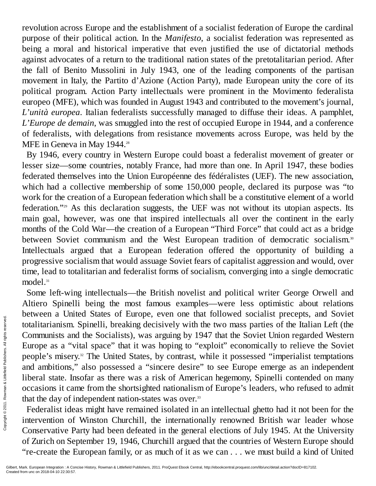revolution across Europe and the establishment of a socialist federation of Europe the cardinal purpose of their political action. In the *Manifesto*, a socialist federation was represented as being a moral and historical imperative that even justified the use of dictatorial methods against advocates of a return to the traditional nation states of the pretotalitarian period. After the fall of Benito Mussolini in July 1943, one of the leading components of the partisan movement in Italy, the Partito d'Azione (Action Party), made European unity the core of its political program. Action Party intellectuals were prominent in the Movimento federalista europeo (MFE), which was founded in August 1943 and contributed to the movement's journal, *L'unità europea*. Italian federalists successfully managed to diffuse their ideas. A pamphlet, *L'Europe de demain*, was smuggled into the rest of occupied Europe in 1944, and a conference of federalists, with delegations from resistance movements across Europe, was held by the MFE in Geneva in May 1944. 28

By 1946, every country in Western Europe could boast a federalist movement of greater or lesser size—some countries, notably France, had more than one. In April 1947, these bodies federated themselves into the Union Européenne des fédéralistes (UEF). The new association, which had a collective membership of some 150,000 people, declared its purpose was "to work for the creation of a European federation which shall be a constitutive element of a world federation."<sup>29</sup> As this declaration suggests, the UEF was not without its utopian aspects. Its main goal, however, was one that inspired intellectuals all over the continent in the early months of the Cold War—the creation of a European "Third Force" that could act as a bridge between Soviet communism and the West European tradition of democratic socialism.<sup>30</sup> Intellectuals argued that a European federation offered the opportunity of building a progressive socialism that would assuage Soviet fears of capitalist aggression and would, over time, lead to totalitarian and federalist forms of socialism, converging into a single democratic model. 31

Some left-wing intellectuals—the British novelist and political writer George Orwell and Altiero Spinelli being the most famous examples—were less optimistic about relations between a United States of Europe, even one that followed socialist precepts, and Soviet totalitarianism. Spinelli, breaking decisively with the two mass parties of the Italian Left (the Communists and the Socialists), was arguing by 1947 that the Soviet Union regarded Western Europe as a "vital space" that it was hoping to "exploit" economically to relieve the Soviet people's misery.<sup>32</sup> The United States, by contrast, while it possessed "imperialist temptations and ambitions," also possessed a "sincere desire" to see Europe emerge as an independent liberal state. Insofar as there was a risk of American hegemony, Spinelli contended on many occasions it came from the shortsighted nationalism of Europe's leaders, who refused to admit that the day of independent nation-states was over.<sup>33</sup> From United From the Created from unc on 2018-04-10 22:30:57.<br>
Created from unc on 2018-04-10 22:30:57.<br>
Created from unc on 2018-04-10 22:30:57.<br>
Created from unc on 2018-04-10 22:30:57.<br>
Created from unc on 2018-04-10 2

Federalist ideas might have remained isolated in an intellectual ghetto had it not been for the intervention of Winston Churchill, the internationally renowned British war leader whose Conservative Party had been defeated in the general elections of July 1945. At the University of Zurich on September 19, 1946, Churchill argued that the countries of Western Europe should "re-create the European family, or as much of it as we can . . . we must build a kind of United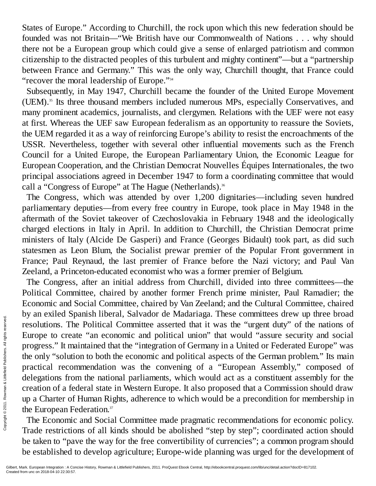States of Europe." According to Churchill, the rock upon which this new federation should be founded was not Britain—"We British have our Commonwealth of Nations . . . why should there not be a European group which could give a sense of enlarged patriotism and common citizenship to the distracted peoples of this turbulent and mighty continent"—but a "partnership between France and Germany." This was the only way, Churchill thought, that France could "recover the moral leadership of Europe."<sup>34</sup>

Subsequently, in May 1947, Churchill became the founder of the United Europe Movement (UEM). 35 Its three thousand members included numerous MPs, especially Conservatives, and many prominent academics, journalists, and clergymen. Relations with the UEF were not easy at first. Whereas the UEF saw European federalism as an opportunity to reassure the Soviets, the UEM regarded it as a way of reinforcing Europe's ability to resist the encroachments of the USSR. Nevertheless, together with several other influential movements such as the French Council for a United Europe, the European Parliamentary Union, the Economic League for European Cooperation, and the Christian Democrat Nouvelles Équipes Internationales, the two principal associations agreed in December 1947 to form a coordinating committee that would call a "Congress of Europe" at The Hague (Netherlands).<sup>36</sup>

The Congress, which was attended by over 1,200 dignitaries—including seven hundred parliamentary deputies—from every free country in Europe, took place in May 1948 in the aftermath of the Soviet takeover of Czechoslovakia in February 1948 and the ideologically charged elections in Italy in April. In addition to Churchill, the Christian Democrat prime ministers of Italy (Alcide De Gasperi) and France (Georges Bidault) took part, as did such statesmen as Leon Blum, the Socialist prewar premier of the Popular Front government in France; Paul Reynaud, the last premier of France before the Nazi victory; and Paul Van Zeeland, a Princeton-educated economist who was a former premier of Belgium.

The Congress, after an initial address from Churchill, divided into three committees—the Political Committee, chaired by another former French prime minister, Paul Ramadier; the Economic and Social Committee, chaired by Van Zeeland; and the Cultural Committee, chaired by an exiled Spanish liberal, Salvador de Madariaga. These committees drew up three broad resolutions. The Political Committee asserted that it was the "urgent duty" of the nations of Europe to create "an economic and political union" that would "assure security and social progress." It maintained that the "integration of Germany in a United or Federated Europe" was the only "solution to both the economic and political aspects of the German problem." Its main practical recommendation was the convening of a "European Assembly," composed of delegations from the national parliaments, which would act as a constituent assembly for the creation of a federal state in Western Europe. It also proposed that a Commission should draw up a Charter of Human Rights, adherence to which would be a precondition for membership in the European Federation. 37 Examples a progress." It may be established to the European Fred Created from unc on 2018-04-10 22:30:57. Copyright Created from unc on 2018-04-10 22:30:57.

The Economic and Social Committee made pragmatic recommendations for economic policy. Trade restrictions of all kinds should be abolished "step by step"; coordinated action should be taken to "pave the way for the free convertibility of currencies"; a common program should be established to develop agriculture; Europe-wide planning was urged for the development of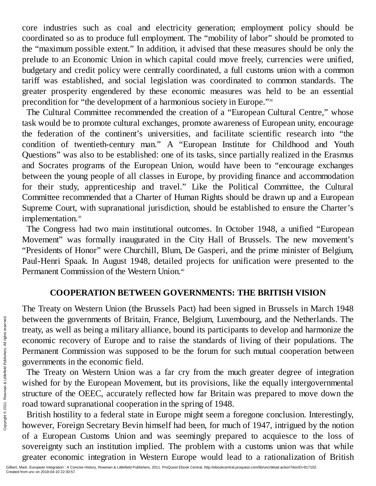core industries such as coal and electricity generation; employment policy should be coordinated so as to produce full employment. The "mobility of labor" should be promoted to the "maximum possible extent." In addition, it advised that these measures should be only the prelude to an Economic Union in which capital could move freely, currencies were unified, budgetary and credit policy were centrally coordinated, a full customs union with a common tariff was established, and social legislation was coordinated to common standards. The greater prosperity engendered by these economic measures was held to be an essential precondition for "the development of a harmonious society in Europe." 38

The Cultural Committee recommended the creation of a "European Cultural Centre," whose task would be to promote cultural exchanges, promote awareness of European unity, encourage the federation of the continent's universities, and facilitate scientific research into "the condition of twentieth-century man." A "European Institute for Childhood and Youth Questions" was also to be established: one of its tasks, since partially realized in the Erasmus and Socrates programs of the European Union, would have been to "encourage exchanges between the young people of all classes in Europe, by providing finance and accommodation for their study, apprenticeship and travel." Like the Political Committee, the Cultural Committee recommended that a Charter of Human Rights should be drawn up and a European Supreme Court, with supranational jurisdiction, should be established to ensure the Charter's implementation. 39

The Congress had two main institutional outcomes. In October 1948, a unified "European Movement" was formally inaugurated in the City Hall of Brussels. The new movement's "Presidents of Honor" were Churchill, Blum, De Gasperi, and the prime minister of Belgium, Paul-Henri Spaak. In August 1948, detailed projects for unification were presented to the Permanent Commission of the Western Union. 40

### **COOPERATION BETWEEN GOVERNMENTS: THE BRITISH VISION**

The Treaty on Western Union (the Brussels Pact) had been signed in Brussels in March 1948 between the governments of Britain, France, Belgium, Luxembourg, and the Netherlands. The treaty, as well as being a military alliance, bound its participants to develop and harmonize the economic recovery of Europe and to raise the standards of living of their populations. The Permanent Commission was supposed to be the forum for such mutual cooperation between governments in the economic field.

The Treaty on Western Union was a far cry from the much greater degree of integration wished for by the European Movement, but its provisions, like the equally intergovernmental structure of the OEEC, accurately reflected how far Britain was prepared to move down the road toward supranational cooperation in the spring of 1948.

British hostility to a federal state in Europe might seem a foregone conclusion. Interestingly, however, Foreign Secretary Bevin himself had been, for much of 1947, intrigued by the notion of a European Customs Union and was seemingly prepared to acquiesce to the loss of sovereignty such an institution implied. The problem with a customs union was that while greater economic integration in Western Europe would lead to a rationalization of British Example 12 and toward suppresentation: A Coreated from unc on 2018-04-10 22:30:57. Created from unc on 2018-04-10 22:30:57.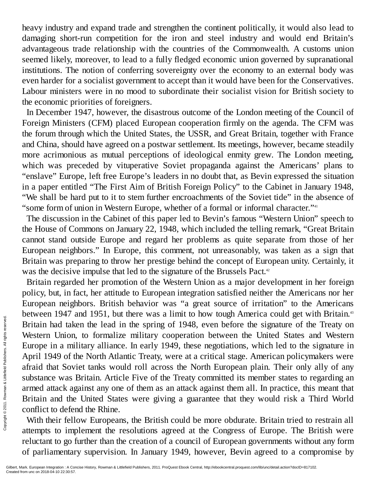heavy industry and expand trade and strengthen the continent politically, it would also lead to damaging short-run competition for the iron and steel industry and would end Britain's advantageous trade relationship with the countries of the Commonwealth. A customs union seemed likely, moreover, to lead to a fully fledged economic union governed by supranational institutions. The notion of conferring sovereignty over the economy to an external body was even harder for a socialist government to accept than it would have been for the Conservatives. Labour ministers were in no mood to subordinate their socialist vision for British society to the economic priorities of foreigners.

In December 1947, however, the disastrous outcome of the London meeting of the Council of Foreign Ministers (CFM) placed European cooperation firmly on the agenda. The CFM was the forum through which the United States, the USSR, and Great Britain, together with France and China, should have agreed on a postwar settlement. Its meetings, however, became steadily more acrimonious as mutual perceptions of ideological enmity grew. The London meeting, which was preceded by vituperative Soviet propaganda against the Americans' plans to "enslave" Europe, left free Europe's leaders in no doubt that, as Bevin expressed the situation in a paper entitled "The First Aim of British Foreign Policy" to the Cabinet in January 1948, "We shall be hard put to it to stem further encroachments of the Soviet tide" in the absence of "some form of union in Western Europe, whether of a formal or informal character."<sup>41</sup>

The discussion in the Cabinet of this paper led to Bevin's famous "Western Union" speech to the House of Commons on January 22, 1948, which included the telling remark, "Great Britain cannot stand outside Europe and regard her problems as quite separate from those of her European neighbors." In Europe, this comment, not unreasonably, was taken as a sign that Britain was preparing to throw her prestige behind the concept of European unity. Certainly, it was the decisive impulse that led to the signature of the Brussels Pact.<sup>42</sup>

Britain regarded her promotion of the Western Union as a major development in her foreign policy, but, in fact, her attitude to European integration satisfied neither the Americans nor her European neighbors. British behavior was "a great source of irritation" to the Americans between 1947 and 1951, but there was a limit to how tough America could get with Britain.<sup>43</sup> Britain had taken the lead in the spring of 1948, even before the signature of the Treaty on Western Union, to formalize military cooperation between the United States and Western Europe in a military alliance. In early 1949, these negotiations, which led to the signature in April 1949 of the North Atlantic Treaty, were at a critical stage. American policymakers were afraid that Soviet tanks would roll across the North European plain. Their only ally of any substance was Britain. Article Five of the Treaty committed its member states to regarding an armed attack against any one of them as an attack against them all. In practice, this meant that Britain and the United States were giving a guarantee that they would risk a Third World conflict to defend the Rhine. Exerces the distance on a minimal data western Union Europe in a minimal data Western Union Europe in a minimal data of a diradic and the conflict to defer With their fell attempts to impediation of parliamentar  $\frac{C}{C}$ 

With their fellow Europeans, the British could be more obdurate. Britain tried to restrain all attempts to implement the resolutions agreed at the Congress of Europe. The British were reluctant to go further than the creation of a council of European governments without any form of parliamentary supervision. In January 1949, however, Bevin agreed to a compromise by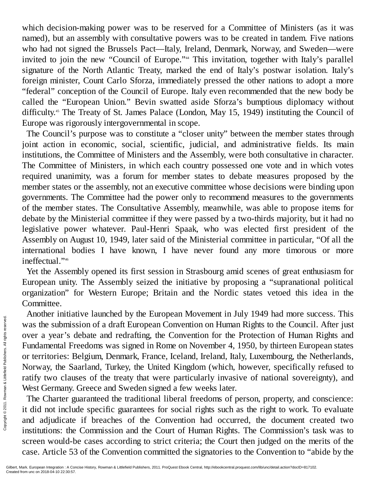which decision-making power was to be reserved for a Committee of Ministers (as it was named), but an assembly with consultative powers was to be created in tandem. Five nations who had not signed the Brussels Pact—Italy, Ireland, Denmark, Norway, and Sweden—were invited to join the new "Council of Europe." <sup>44</sup> This invitation, together with Italy's parallel signature of the North Atlantic Treaty, marked the end of Italy's postwar isolation. Italy's foreign minister, Count Carlo Sforza, immediately pressed the other nations to adopt a more "federal" conception of the Council of Europe. Italy even recommended that the new body be called the "European Union." Bevin swatted aside Sforza's bumptious diplomacy without difficulty. <sup>45</sup> The Treaty of St. James Palace (London, May 15, 1949) instituting the Council of Europe was rigorously intergovernmental in scope.

The Council's purpose was to constitute a "closer unity" between the member states through joint action in economic, social, scientific, judicial, and administrative fields. Its main institutions, the Committee of Ministers and the Assembly, were both consultative in character. The Committee of Ministers, in which each country possessed one vote and in which votes required unanimity, was a forum for member states to debate measures proposed by the member states or the assembly, not an executive committee whose decisions were binding upon governments. The Committee had the power only to recommend measures to the governments of the member states. The Consultative Assembly, meanwhile, was able to propose items for debate by the Ministerial committee if they were passed by a two-thirds majority, but it had no legislative power whatever. Paul-Henri Spaak, who was elected first president of the Assembly on August 10, 1949, later said of the Ministerial committee in particular, "Of all the international bodies I have known, I have never found any more timorous or more ineffectual." 46

Yet the Assembly opened its first session in Strasbourg amid scenes of great enthusiasm for European unity. The Assembly seized the initiative by proposing a "supranational political organization" for Western Europe; Britain and the Nordic states vetoed this idea in the Committee.

Another initiative launched by the European Movement in July 1949 had more success. This was the submission of a draft European Convention on Human Rights to the Council. After just over a year's debate and redrafting, the Convention for the Protection of Human Rights and Fundamental Freedoms was signed in Rome on November 4, 1950, by thirteen European states or territories: Belgium, Denmark, France, Iceland, Ireland, Italy, Luxembourg, the Netherlands, Norway, the Saarland, Turkey, the United Kingdom (which, however, specifically refused to ratify two clauses of the treaty that were particularly invasive of national sovereignty), and West Germany. Greece and Sweden signed a few weeks later. Example 1 Hotel From 2018-04-10 22:30:57.<br>
The Charter of Bublishers.<br>
The Charter g<br>
Limbar Coreated from unc on 2018-04-10 22:30:57.<br>
Created from unc on 2018-04-10 22:30:57.<br>
Sinceparam Publishers. All rights reserved.

The Charter guaranteed the traditional liberal freedoms of person, property, and conscience: it did not include specific guarantees for social rights such as the right to work. To evaluate and adjudicate if breaches of the Convention had occurred, the document created two institutions: the Commission and the Court of Human Rights. The Commission's task was to screen would-be cases according to strict criteria; the Court then judged on the merits of the case. Article 53 of the Convention committed the signatories to the Convention to "abide by the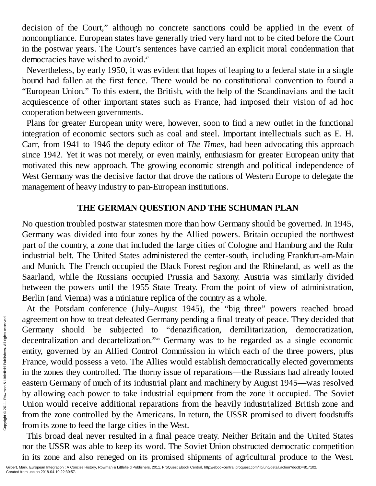decision of the Court," although no concrete sanctions could be applied in the event of noncompliance. European states have generally tried very hard not to be cited before the Court in the postwar years. The Court's sentences have carried an explicit moral condemnation that democracies have wished to avoid. 47

Nevertheless, by early 1950, it was evident that hopes of leaping to a federal state in a single bound had fallen at the first fence. There would be no constitutional convention to found a "European Union." To this extent, the British, with the help of the Scandinavians and the tacit acquiescence of other important states such as France, had imposed their vision of ad hoc cooperation between governments.

Plans for greater European unity were, however, soon to find a new outlet in the functional integration of economic sectors such as coal and steel. Important intellectuals such as E. H. Carr, from 1941 to 1946 the deputy editor of *The Times*, had been advocating this approach since 1942. Yet it was not merely, or even mainly, enthusiasm for greater European unity that motivated this new approach. The growing economic strength and political independence of West Germany was the decisive factor that drove the nations of Western Europe to delegate the management of heavy industry to pan-European institutions.

#### **THE GERMAN QUESTION AND THE SCHUMAN PLAN**

No question troubled postwar statesmen more than how Germany should be governed. In 1945, Germany was divided into four zones by the Allied powers. Britain occupied the northwest part of the country, a zone that included the large cities of Cologne and Hamburg and the Ruhr industrial belt. The United States administered the center-south, including Frankfurt-am-Main and Munich. The French occupied the Black Forest region and the Rhineland, as well as the Saarland, while the Russians occupied Prussia and Saxony. Austria was similarly divided between the powers until the 1955 State Treaty. From the point of view of administration, Berlin (and Vienna) was a miniature replica of the country as a whole.

At the Potsdam conference (July–August 1945), the "big three" powers reached broad agreement on how to treat defeated Germany pending a final treaty of peace. They decided that Germany should be subjected to "denazification, demilitarization, democratization, decentralization and decartelization." <sup>48</sup> Germany was to be regarded as a single economic entity, governed by an Allied Control Commission in which each of the three powers, plus France, would possess a veto. The Allies would establish democratically elected governments in the zones they controlled. The thorny issue of reparations—the Russians had already looted eastern Germany of much of its industrial plant and machinery by August 1945—was resolved by allowing each power to take industrial equipment from the zone it occupied. The Soviet Union would receive additional reparations from the heavily industrialized British zone and from the zone controlled by the Americans. In return, the USSR promised to divert foodstuffs from its zone to feed the large cities in the West. Example the direct Mark. European Integration : A Core<br>
Created from unc on 2018-04-10 22:30:57.<br>
Created from unc on 2018-04-10 22:30:57.<br>
Created from unc on 2018-04-10 22:30:57.<br>
Created from unc on 2018-04-10 22:30:57

This broad deal never resulted in a final peace treaty. Neither Britain and the United States nor the USSR was able to keep its word. The Soviet Union obstructed democratic competition in its zone and also reneged on its promised shipments of agricultural produce to the West.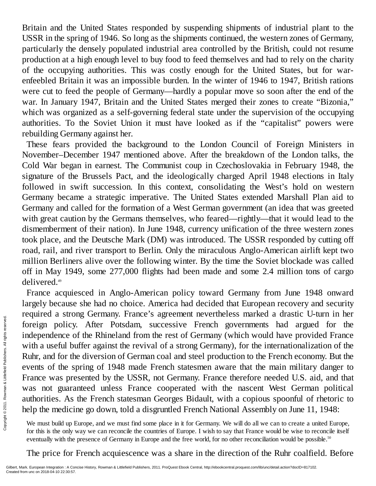Britain and the United States responded by suspending shipments of industrial plant to the USSR in the spring of 1946. So long as the shipments continued, the western zones of Germany, particularly the densely populated industrial area controlled by the British, could not resume production at a high enough level to buy food to feed themselves and had to rely on the charity of the occupying authorities. This was costly enough for the United States, but for warenfeebled Britain it was an impossible burden. In the winter of 1946 to 1947, British rations were cut to feed the people of Germany—hardly a popular move so soon after the end of the war. In January 1947, Britain and the United States merged their zones to create "Bizonia," which was organized as a self-governing federal state under the supervision of the occupying authorities. To the Soviet Union it must have looked as if the "capitalist" powers were rebuilding Germany against her.

These fears provided the background to the London Council of Foreign Ministers in November–December 1947 mentioned above. After the breakdown of the London talks, the Cold War began in earnest. The Communist coup in Czechoslovakia in February 1948, the signature of the Brussels Pact, and the ideologically charged April 1948 elections in Italy followed in swift succession. In this context, consolidating the West's hold on western Germany became a strategic imperative. The United States extended Marshall Plan aid to Germany and called for the formation of a West German government (an idea that was greeted with great caution by the Germans themselves, who feared—rightly—that it would lead to the dismemberment of their nation). In June 1948, currency unification of the three western zones took place, and the Deutsche Mark (DM) was introduced. The USSR responded by cutting off road, rail, and river transport to Berlin. Only the miraculous Anglo-American airlift kept two million Berliners alive over the following winter. By the time the Soviet blockade was called off in May 1949, some 277,000 flights had been made and some 2.4 million tons of cargo delivered. 49

France acquiesced in Anglo-American policy toward Germany from June 1948 onward largely because she had no choice. America had decided that European recovery and security required a strong Germany. France's agreement nevertheless marked a drastic U-turn in her foreign policy. After Potsdam, successive French governments had argued for the independence of the Rhineland from the rest of Germany (which would have provided France with a useful buffer against the revival of a strong Germany), for the internationalization of the Ruhr, and for the diversion of German coal and steel production to the French economy. But the events of the spring of 1948 made French statesmen aware that the main military danger to France was presented by the USSR, not Germany. France therefore needed U.S. aid, and that was not guaranteed unless France cooperated with the nascent West German political authorities. As the French statesman Georges Bidault, with a copious spoonful of rhetoric to help the medicine go down, told a disgruntled French National Assembly on June 11, 1948: Example 12 **Created from unc on 2018-04-10 22:30:57.**<br>
Created from unc on 2018-04-10 22:30:57.<br>
Created from unc on 2018-04-10 22:30:57.<br>
Created from unc on 2018-04-10 22:30:57.<br>
Created from unc on 2018-04-10 22:30:57.

We must build up Europe, and we must find some place in it for Germany. We will do all we can to create a united Europe, for this is the only way we can reconcile the countries of Europe. I wish to say that France would be wise to reconcile itself eventually with the presence of Germany in Europe and the free world, for no other reconciliation would be possible.<sup>50</sup>

The price for French acquiescence was a share in the direction of the Ruhr coalfield. Before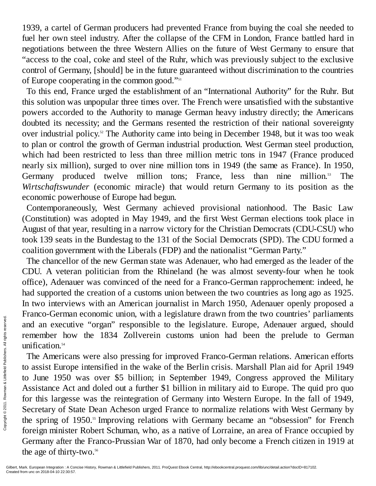1939, a cartel of German producers had prevented France from buying the coal she needed to fuel her own steel industry. After the collapse of the CFM in London, France battled hard in negotiations between the three Western Allies on the future of West Germany to ensure that "access to the coal, coke and steel of the Ruhr, which was previously subject to the exclusive control of Germany, [should] be in the future guaranteed without discrimination to the countries of Europe cooperating in the common good."<sup>51</sup>

To this end, France urged the establishment of an "International Authority" for the Ruhr. But this solution was unpopular three times over. The French were unsatisfied with the substantive powers accorded to the Authority to manage German heavy industry directly; the Americans doubted its necessity; and the Germans resented the restriction of their national sovereignty over industrial policy. <sup>52</sup> The Authority came into being in December 1948, but it was too weak to plan or control the growth of German industrial production. West German steel production, which had been restricted to less than three million metric tons in 1947 (France produced nearly six million), surged to over nine million tons in 1949 (the same as France). In 1950, Germany produced twelve million tons; France, less than nine million.<sup>53</sup> The *Wirtschaftswunder* (economic miracle) that would return Germany to its position as the economic powerhouse of Europe had begun.

Contemporaneously, West Germany achieved provisional nationhood. The Basic Law (Constitution) was adopted in May 1949, and the first West German elections took place in August of that year, resulting in a narrow victory for the Christian Democrats (CDU-CSU) who took 139 seats in the Bundestag to the 131 of the Social Democrats (SPD). The CDU formed a coalition government with the Liberals (FDP) and the nationalist "German Party."

The chancellor of the new German state was Adenauer, who had emerged as the leader of the CDU. A veteran politician from the Rhineland (he was almost seventy-four when he took office), Adenauer was convinced of the need for a Franco-German rapprochement: indeed, he had supported the creation of a customs union between the two countries as long ago as 1925. In two interviews with an American journalist in March 1950, Adenauer openly proposed a Franco-German economic union, with a legislature drawn from the two countries' parliaments and an executive "organ" responsible to the legislature. Europe, Adenauer argued, should remember how the 1834 Zollverein customs union had been the prelude to German unification. 54

The Americans were also pressing for improved Franco-German relations. American efforts to assist Europe intensified in the wake of the Berlin crisis. Marshall Plan aid for April 1949 to June 1950 was over \$5 billion; in September 1949, Congress approved the Military Assistance Act and doled out a further \$1 billion in military aid to Europe. The quid pro quo for this largesse was the reintegration of Germany into Western Europe. In the fall of 1949, Secretary of State Dean Acheson urged France to normalize relations with West Germany by the spring of 1950.<sup>55</sup> Improving relations with Germany became an "obsession" for French foreign minister Robert Schuman, who, as a native of Lorraine, an area of France occupied by Germany after the Franco-Prussian War of 1870, had only become a French citizen in 1919 at the age of thirty-two. 56 Example the unification.<sup>54</sup><br>
and an executive member how<br>
unification.<sup>54</sup><br>
The American<br>
to assist Europe<br>
to June 1950<br>
Assistance Act<br>
for this largess<br>
Secretary of St<br>
the spring of 1<br>
foreign minister<br>
Germany afte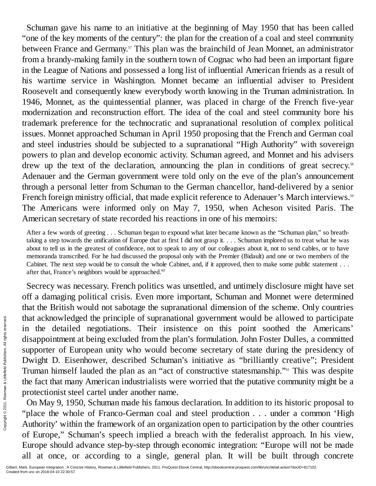Schuman gave his name to an initiative at the beginning of May 1950 that has been called "one of the key moments of the century": the plan for the creation of a coal and steel community between France and Germany.<sup>57</sup> This plan was the brainchild of Jean Monnet, an administrator from a brandy-making family in the southern town of Cognac who had been an important figure in the League of Nations and possessed a long list of influential American friends as a result of his wartime service in Washington. Monnet became an influential adviser to President Roosevelt and consequently knew everybody worth knowing in the Truman administration. In 1946, Monnet, as the quintessential planner, was placed in charge of the French five-year modernization and reconstruction effort. The idea of the coal and steel community bore his trademark preference for the technocratic and supranational resolution of complex political issues. Monnet approached Schuman in April 1950 proposing that the French and German coal and steel industries should be subjected to a supranational "High Authority" with sovereign powers to plan and develop economic activity. Schuman agreed, and Monnet and his advisers drew up the text of the declaration, announcing the plan in conditions of great secrecy.<sup>58</sup> Adenauer and the German government were told only on the eve of the plan's announcement through a personal letter from Schuman to the German chancellor, hand-delivered by a senior French foreign ministry official, that made explicit reference to Adenauer's March interviews. 59 The Americans were informed only on May 7, 1950, when Acheson visited Paris. The American secretary of state recorded his reactions in one of his memoirs:

After a few words of greeting . . . Schuman began to expound what later became known as the "Schuman plan," so breathtaking a step towards the unification of Europe that at first I did not grasp it. . . . Schuman implored us to treat what he was about to tell us in the greatest of confidence, not to speak to any of our colleagues about it, not to send cables, or to have memoranda transcribed. For he had discussed the proposal only with the Premier (Bidault) and one or two members of the Cabinet. The next step would be to consult the whole Cabinet, and, if it approved, then to make some public statement . . . after that, France's neighbors would be approached. 60

Secrecy was necessary. French politics was unsettled, and untimely disclosure might have set off a damaging political crisis. Even more important, Schuman and Monnet were determined that the British would not sabotage the supranational dimension of the scheme. Only countries that acknowledged the principle of supranational government would be allowed to participate in the detailed negotiations. Their insistence on this point soothed the Americans' disappointment at being excluded from the plan's formulation. John Foster Dulles, a committed supporter of European unity who would become secretary of state during the presidency of Dwight D. Eisenhower, described Schuman's initiative as "brilliantly creative"; President Truman himself lauded the plan as an "act of constructive statesmanship." <sup>61</sup> This was despite the fact that many American industrialists were worried that the putative community might be a protectionist steel cartel under another name. That acknowled<br>
in the detaile<br>
disappointment<br>
supporter of Ein<br>
Dwight D. Eis<br>
Truman himself<br>
the fact that man<br>
protectionist ste<br>
protectionist ste<br>
content, Mark. Europe,  $\frac{1}{2}$ <br>
Served. From the on 2018-04-10 22

On May 9, 1950, Schuman made his famous declaration. In addition to its historic proposal to "place the whole of Franco-German coal and steel production . . . under a common 'High Authority' within the framework of an organization open to participation by the other countries of Europe," Schuman's speech implied a breach with the federalist approach. In his view, Europe should advance step-by-step through economic integration: "Europe will not be made all at once, or according to a single, general plan. It will be built through concrete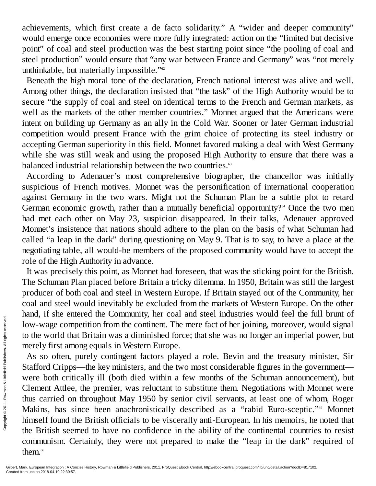achievements, which first create a de facto solidarity." A "wider and deeper community" would emerge once economies were more fully integrated: action on the "limited but decisive point" of coal and steel production was the best starting point since "the pooling of coal and steel production" would ensure that "any war between France and Germany" was "not merely unthinkable, but materially impossible."<sup>62</sup>

Beneath the high moral tone of the declaration, French national interest was alive and well. Among other things, the declaration insisted that "the task" of the High Authority would be to secure "the supply of coal and steel on identical terms to the French and German markets, as well as the markets of the other member countries." Monnet argued that the Americans were intent on building up Germany as an ally in the Cold War. Sooner or later German industrial competition would present France with the grim choice of protecting its steel industry or accepting German superiority in this field. Monnet favored making a deal with West Germany while she was still weak and using the proposed High Authority to ensure that there was a balanced industrial relationship between the two countries.<sup>63</sup>

According to Adenauer's most comprehensive biographer, the chancellor was initially suspicious of French motives. Monnet was the personification of international cooperation against Germany in the two wars. Might not the Schuman Plan be a subtle plot to retard German economic growth, rather than a mutually beneficial opportunity?<sup>64</sup> Once the two men had met each other on May 23, suspicion disappeared. In their talks, Adenauer approved Monnet's insistence that nations should adhere to the plan on the basis of what Schuman had called "a leap in the dark" during questioning on May 9. That is to say, to have a place at the negotiating table, all would-be members of the proposed community would have to accept the role of the High Authority in advance.

It was precisely this point, as Monnet had foreseen, that was the sticking point for the British. The Schuman Plan placed before Britain a tricky dilemma. In 1950, Britain was still the largest producer of both coal and steel in Western Europe. If Britain stayed out of the Community, her coal and steel would inevitably be excluded from the markets of Western Europe. On the other hand, if she entered the Community, her coal and steel industries would feel the full brunt of low-wage competition from the continent. The mere fact of her joining, moreover, would signal to the world that Britain was a diminished force; that she was no longer an imperial power, but merely first among equals in Western Europe.

As so often, purely contingent factors played a role. Bevin and the treasury minister, Sir Stafford Cripps—the key ministers, and the two most considerable figures in the government were both critically ill (both died within a few months of the Schuman announcement), but Clement Attlee, the premier, was reluctant to substitute them. Negotiations with Monnet were thus carried on throughout May 1950 by senior civil servants, at least one of whom, Roger Makins, has since been anachronistically described as a "rabid Euro-sceptic." <sup>65</sup> Monnet himself found the British officials to be viscerally anti-European. In his memoirs, he noted that the British seemed to have no confidence in the ability of the continental countries to resist communism. Certainly, they were not prepared to make the "leap in the dark" required of them. 66 Example 1 Mark, Fig. 10 Mapped Comparison in the Critics of the World that merely first amerely first amerely first amerely first amerely first amerely first amerely first amerely first amerely started Cripps were both cr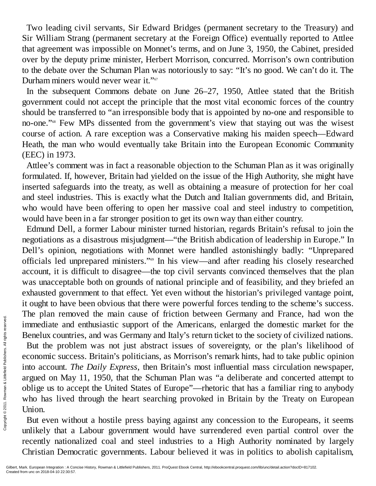Two leading civil servants, Sir Edward Bridges (permanent secretary to the Treasury) and Sir William Strang (permanent secretary at the Foreign Office) eventually reported to Attlee that agreement was impossible on Monnet's terms, and on June 3, 1950, the Cabinet, presided over by the deputy prime minister, Herbert Morrison, concurred. Morrison's own contribution to the debate over the Schuman Plan was notoriously to say: "It's no good. We can't do it. The Durham miners would never wear it."<sup>57</sup>

In the subsequent Commons debate on June 26–27, 1950, Attlee stated that the British government could not accept the principle that the most vital economic forces of the country should be transferred to "an irresponsible body that is appointed by no-one and responsible to no-one." <sup>68</sup> Few MPs dissented from the government's view that staying out was the wisest course of action. A rare exception was a Conservative making his maiden speech—Edward Heath, the man who would eventually take Britain into the European Economic Community (EEC) in 1973.

Attlee's comment was in fact a reasonable objection to the Schuman Plan as it was originally formulated. If, however, Britain had yielded on the issue of the High Authority, she might have inserted safeguards into the treaty, as well as obtaining a measure of protection for her coal and steel industries. This is exactly what the Dutch and Italian governments did, and Britain, who would have been offering to open her massive coal and steel industry to competition, would have been in a far stronger position to get its own way than either country.

Edmund Dell, a former Labour minister turned historian, regards Britain's refusal to join the negotiations as a disastrous misjudgment—"the British abdication of leadership in Europe." In Dell's opinion, negotiations with Monnet were handled astonishingly badly: "Unprepared officials led unprepared ministers."<sup>69</sup> In his view—and after reading his closely researched account, it is difficult to disagree—the top civil servants convinced themselves that the plan was unacceptable both on grounds of national principle and of feasibility, and they briefed an exhausted government to that effect. Yet even without the historian's privileged vantage point, it ought to have been obvious that there were powerful forces tending to the scheme's success. The plan removed the main cause of friction between Germany and France, had won the immediate and enthusiastic support of the Americans, enlarged the domestic market for the Benelux countries, and was Germany and Italy's return ticket to the society of civilized nations. But the problem was not just abstract issues of sovereignty, or the plan's likelihood of economic success. Britain's politicians, as Morrison's remark hints, had to take public opinion into account. *The Daily Express*, then Britain's most influential mass circulation newspaper, argued on May 11, 1950, that the Schuman Plan was "a deliberate and concerted attempt to oblige us to accept the United States of Europe"—rhetoric that has a familiar ring to anybody who has lived through the heart searching provoked in Britain by the Treaty on European Union. The plant removed immediate and Benelux countri<br>
Experimental Benelux countricus<br>
experimental Publishers. All rights reserved. All rights reserved. All rights reserved. All rights reserved. All rights reserved. All right

But even without a hostile press baying against any concession to the Europeans, it seems unlikely that a Labour government would have surrendered even partial control over the recently nationalized coal and steel industries to a High Authority nominated by largely Christian Democratic governments. Labour believed it was in politics to abolish capitalism,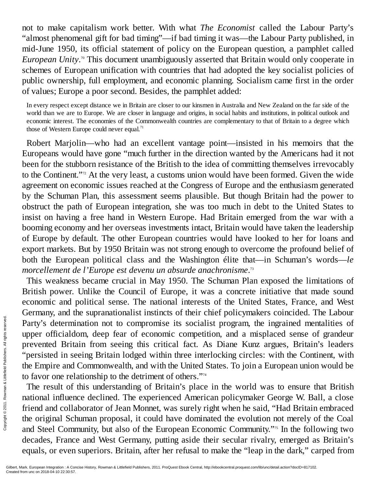not to make capitalism work better. With what *The Economist* called the Labour Party's "almost phenomenal gift for bad timing"—if bad timing it was—the Labour Party published, in mid-June 1950, its official statement of policy on the European question, a pamphlet called *European Unity*. <sup>70</sup> This document unambiguously asserted that Britain would only cooperate in schemes of European unification with countries that had adopted the key socialist policies of public ownership, full employment, and economic planning. Socialism came first in the order of values; Europe a poor second. Besides, the pamphlet added:

In every respect except distance we in Britain are closer to our kinsmen in Australia and New Zealand on the far side of the world than we are to Europe. We are closer in language and origins, in social habits and institutions, in political outlook and economic interest. The economies of the Commonwealth countries are complementary to that of Britain to a degree which those of Western Europe could never equal.<sup>71</sup>

Robert Marjolin—who had an excellent vantage point—insisted in his memoirs that the Europeans would have gone "much further in the direction wanted by the Americans had it not been for the stubborn resistance of the British to the idea of committing themselves irrevocably to the Continent."<sup>72</sup> At the very least, a customs union would have been formed. Given the wide agreement on economic issues reached at the Congress of Europe and the enthusiasm generated by the Schuman Plan, this assessment seems plausible. But though Britain had the power to obstruct the path of European integration, she was too much in debt to the United States to insist on having a free hand in Western Europe. Had Britain emerged from the war with a booming economy and her overseas investments intact, Britain would have taken the leadership of Europe by default. The other European countries would have looked to her for loans and export markets. But by 1950 Britain was not strong enough to overcome the profound belief of both the European political class and the Washington élite that—in Schuman's words—*le morcellement de l'Europe est devenu un absurde anachronisme*. 73

This weakness became crucial in May 1950. The Schuman Plan exposed the limitations of British power. Unlike the Council of Europe, it was a concrete initiative that made sound economic and political sense. The national interests of the United States, France, and West Germany, and the supranationalist instincts of their chief policymakers coincided. The Labour Party's determination not to compromise its socialist program, the ingrained mentalities of upper officialdom, deep fear of economic competition, and a misplaced sense of grandeur prevented Britain from seeing this critical fact. As Diane Kunz argues, Britain's leaders "persisted in seeing Britain lodged within three interlocking circles: with the Continent, with the Empire and Commonwealth, and with the United States. To join a European union would be to favor one relationship to the detriment of others."<sup>74</sup>

The result of this understanding of Britain's place in the world was to ensure that British national influence declined. The experienced American policymaker George W. Ball, a close friend and collaborator of Jean Monnet, was surely right when he said, "Had Britain embraced the original Schuman proposal, it could have dominated the evolution not merely of the Coal and Steel Community, but also of the European Economic Community." 75 In the following two decades, France and West Germany, putting aside their secular rivalry, emerged as Britain's equals, or even superiors. Britain, after her refusal to make the "leap in the dark," carped from Party's determinary of the Empire and to favor one rel The result of national influent  $\frac{1}{2}$  and steel Comming the original Scland Steel Comming decades, France equals, or even  $\frac{1}{2}$   $\frac{1}{2}$   $\frac{1}{2}$   $\frac{1}{2}$